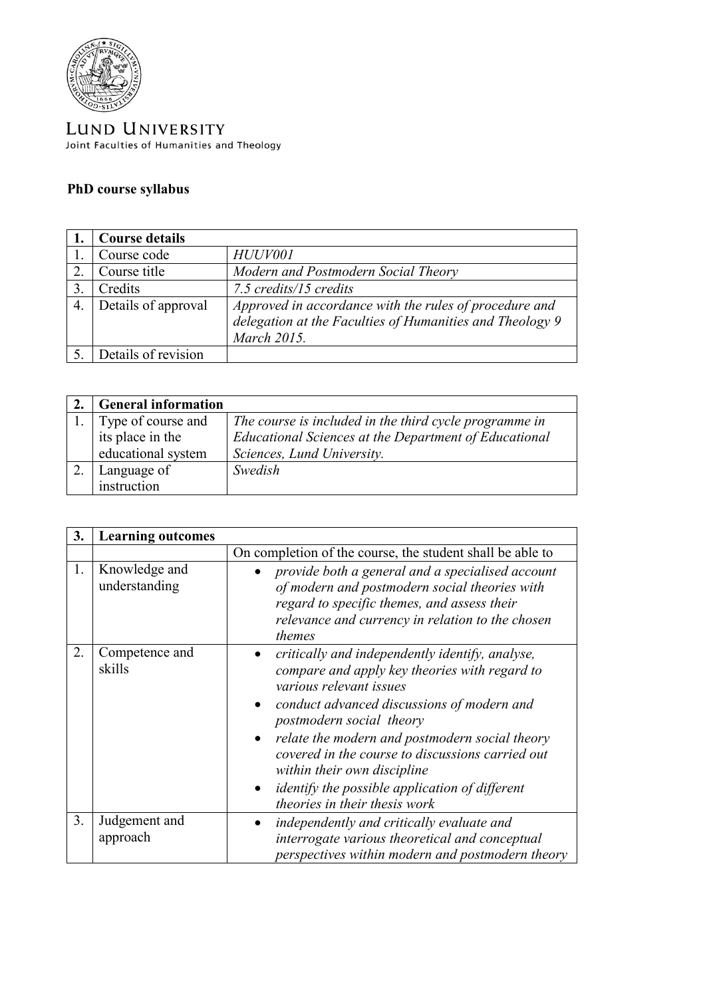

LUND UNIVERSITY Joint Faculties of Humanities and Theology

## **PhD course syllabus**

|     | <b>Course details</b> |                                                          |
|-----|-----------------------|----------------------------------------------------------|
|     | Course code           | HUUV001                                                  |
|     | Course title          | Modern and Postmodern Social Theory                      |
|     | Credits               | 7.5 credits/15 credits                                   |
| -4. | Details of approval   | Approved in accordance with the rules of procedure and   |
|     |                       | delegation at the Faculties of Humanities and Theology 9 |
|     |                       | March 2015.                                              |
|     | Details of revision   |                                                          |

| <b>General information</b> |                                                        |
|----------------------------|--------------------------------------------------------|
| Type of course and         | The course is included in the third cycle programme in |
| its place in the           | Educational Sciences at the Department of Educational  |
| educational system         | Sciences, Lund University.                             |
| Language of                | Swedish                                                |
| instruction                |                                                        |

| 3.             | <b>Learning outcomes</b>       |                                                                                                                                                                                                                                                                                                                                                                                                                                      |
|----------------|--------------------------------|--------------------------------------------------------------------------------------------------------------------------------------------------------------------------------------------------------------------------------------------------------------------------------------------------------------------------------------------------------------------------------------------------------------------------------------|
|                |                                | On completion of the course, the student shall be able to                                                                                                                                                                                                                                                                                                                                                                            |
| 1.             | Knowledge and<br>understanding | provide both a general and a specialised account<br>of modern and postmodern social theories with<br>regard to specific themes, and assess their<br>relevance and currency in relation to the chosen<br>themes                                                                                                                                                                                                                       |
| 2.             | Competence and<br>skills       | critically and independently identify, analyse,<br>compare and apply key theories with regard to<br>various relevant issues<br>conduct advanced discussions of modern and<br>postmodern social theory<br>relate the modern and postmodern social theory<br>covered in the course to discussions carried out<br>within their own discipline<br><i>identify the possible application of different</i><br>theories in their thesis work |
| 3 <sub>1</sub> | Judgement and<br>approach      | independently and critically evaluate and<br>interrogate various theoretical and conceptual<br>perspectives within modern and postmodern theory                                                                                                                                                                                                                                                                                      |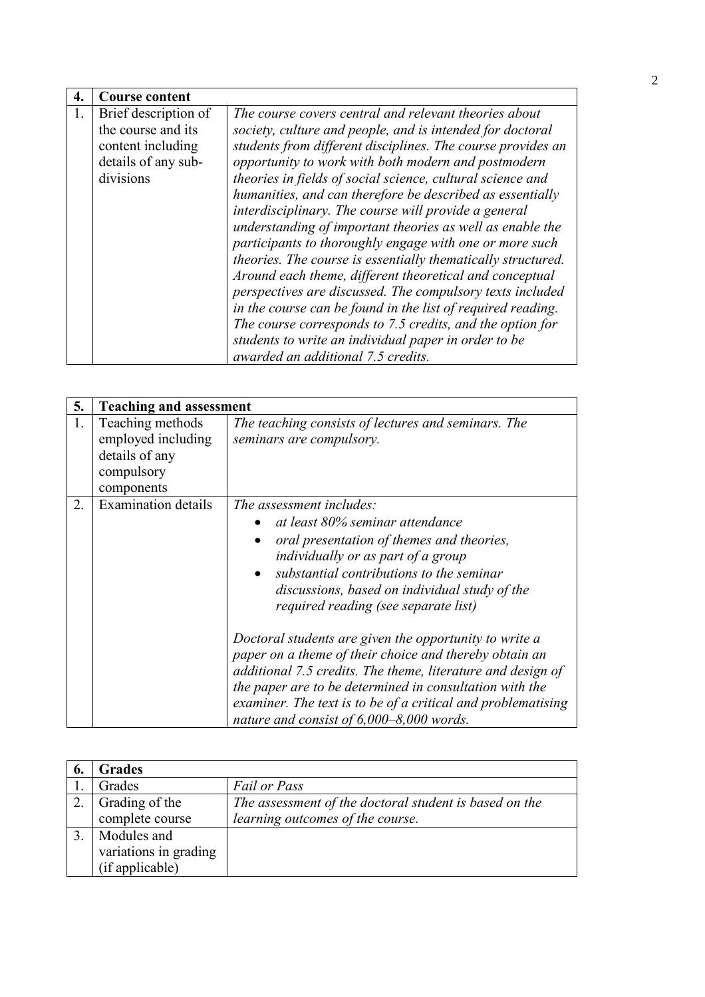| 4. | <b>Course content</b>                                                                               |                                                                                                                                                                                                                                                                                                                                                                                                                                                                                                                                                                                                                                                                                                                                                                                                                                                                                                                                 |
|----|-----------------------------------------------------------------------------------------------------|---------------------------------------------------------------------------------------------------------------------------------------------------------------------------------------------------------------------------------------------------------------------------------------------------------------------------------------------------------------------------------------------------------------------------------------------------------------------------------------------------------------------------------------------------------------------------------------------------------------------------------------------------------------------------------------------------------------------------------------------------------------------------------------------------------------------------------------------------------------------------------------------------------------------------------|
| 1. | Brief description of<br>the course and its<br>content including<br>details of any sub-<br>divisions | The course covers central and relevant theories about<br>society, culture and people, and is intended for doctoral<br>students from different disciplines. The course provides an<br>opportunity to work with both modern and postmodern<br>theories in fields of social science, cultural science and<br>humanities, and can therefore be described as essentially<br>interdisciplinary. The course will provide a general<br>understanding of important theories as well as enable the<br>participants to thoroughly engage with one or more such<br>theories. The course is essentially thematically structured.<br>Around each theme, different theoretical and conceptual<br>perspectives are discussed. The compulsory texts included<br>in the course can be found in the list of required reading.<br>The course corresponds to 7.5 credits, and the option for<br>students to write an individual paper in order to be |
|    |                                                                                                     | awarded an additional 7.5 credits.                                                                                                                                                                                                                                                                                                                                                                                                                                                                                                                                                                                                                                                                                                                                                                                                                                                                                              |

| 5. | <b>Teaching and assessment</b>                                                       |                                                                                                                                                                                                                                                                                                                                               |
|----|--------------------------------------------------------------------------------------|-----------------------------------------------------------------------------------------------------------------------------------------------------------------------------------------------------------------------------------------------------------------------------------------------------------------------------------------------|
| 1. | Teaching methods<br>employed including<br>details of any<br>compulsory<br>components | The teaching consists of lectures and seminars. The<br>seminars are compulsory.                                                                                                                                                                                                                                                               |
| 2. | Examination details                                                                  | The assessment includes:<br>at least 80% seminar attendance<br>oral presentation of themes and theories,<br>individually or as part of a group<br>substantial contributions to the seminar<br>discussions, based on individual study of the<br>required reading (see separate list)<br>Doctoral students are given the opportunity to write a |
|    |                                                                                      | paper on a theme of their choice and thereby obtain an<br>additional 7.5 credits. The theme, literature and design of<br>the paper are to be determined in consultation with the<br>examiner. The text is to be of a critical and problematising<br>nature and consist of $6,000-8,000$ words.                                                |

| <b>Grades</b>         |                                                        |
|-----------------------|--------------------------------------------------------|
| Grades                | <b>Fail or Pass</b>                                    |
| Grading of the        | The assessment of the doctoral student is based on the |
| complete course       | learning outcomes of the course.                       |
| Modules and           |                                                        |
| variations in grading |                                                        |
| (if applicable)       |                                                        |